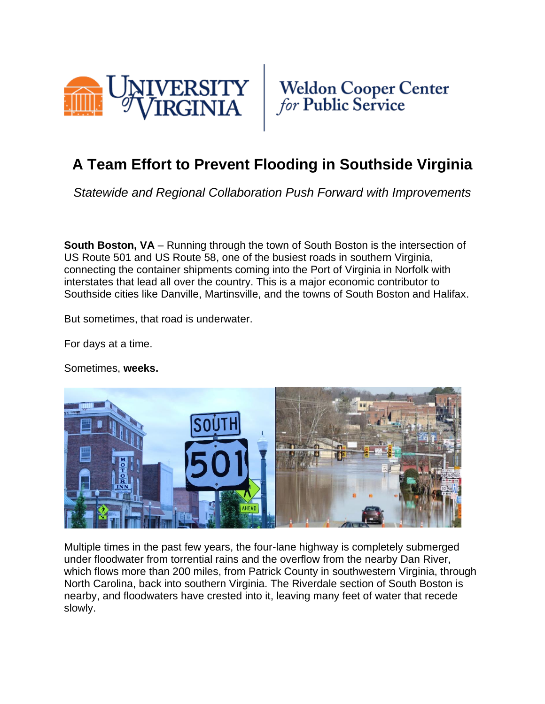



## **A Team Effort to Prevent Flooding in Southside Virginia**

*Statewide and Regional Collaboration Push Forward with Improvements*

**South Boston, VA** – Running through the town of South Boston is the intersection of US Route 501 and US Route 58, one of the busiest roads in southern Virginia, connecting the container shipments coming into the Port of Virginia in Norfolk with interstates that lead all over the country. This is a major economic contributor to Southside cities like Danville, Martinsville, and the towns of South Boston and Halifax.

But sometimes, that road is underwater.

For days at a time.

Sometimes, **weeks.**



Multiple times in the past few years, the four-lane highway is completely submerged under floodwater from torrential rains and the overflow from the nearby Dan River, which flows more than 200 miles, from Patrick County in southwestern Virginia, through North Carolina, back into southern Virginia. The Riverdale section of South Boston is nearby, and floodwaters have crested into it, leaving many feet of water that recede slowly.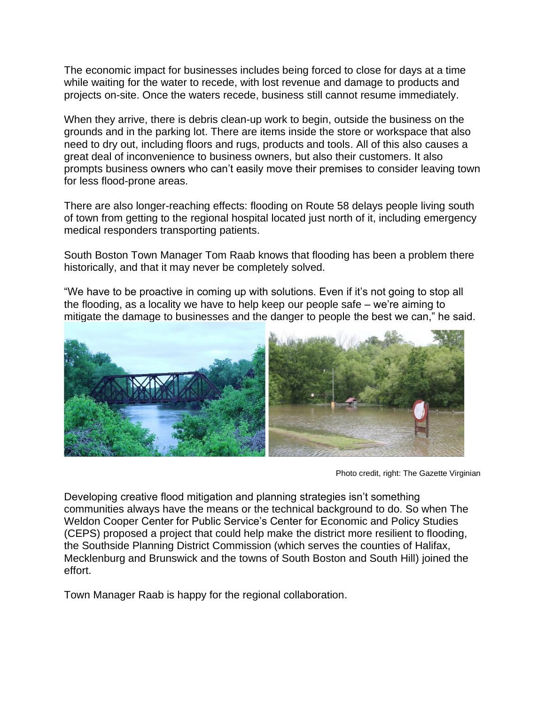The economic impact for businesses includes being forced to close for days at a time while waiting for the water to recede, with lost revenue and damage to products and projects on-site. Once the waters recede, business still cannot resume immediately.

When they arrive, there is debris clean-up work to begin, outside the business on the grounds and in the parking lot. There are items inside the store or workspace that also need to dry out, including floors and rugs, products and tools. All of this also causes a great deal of inconvenience to business owners, but also their customers. It also prompts business owners who can't easily move their premises to consider leaving town for less flood-prone areas.

There are also longer-reaching effects: flooding on Route 58 delays people living south of town from getting to the regional hospital located just north of it, including emergency medical responders transporting patients.

South Boston Town Manager Tom Raab knows that flooding has been a problem there historically, and that it may never be completely solved.

"We have to be proactive in coming up with solutions. Even if it's not going to stop all the flooding, as a locality we have to help keep our people safe – we're aiming to mitigate the damage to businesses and the danger to people the best we can," he said.



Photo credit, right: The Gazette Virginian

Developing creative flood mitigation and planning strategies isn't something communities always have the means or the technical background to do. So when The Weldon Cooper Center for Public Service's Center for Economic and Policy Studies (CEPS) proposed a project that could help make the district more resilient to flooding, the Southside Planning District Commission (which serves the counties of Halifax, Mecklenburg and Brunswick and the towns of South Boston and South Hill) joined the effort.

Town Manager Raab is happy for the regional collaboration.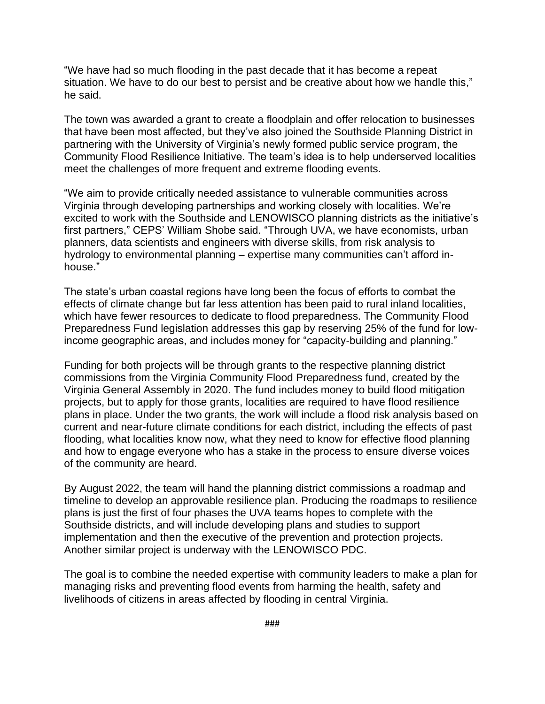"We have had so much flooding in the past decade that it has become a repeat situation. We have to do our best to persist and be creative about how we handle this," he said.

The town was awarded a grant to create a floodplain and offer relocation to businesses that have been most affected, but they've also joined the Southside Planning District in partnering with the University of Virginia's newly formed public service program, the Community Flood Resilience Initiative. The team's idea is to help underserved localities meet the challenges of more frequent and extreme flooding events.

"We aim to provide critically needed assistance to vulnerable communities across Virginia through developing partnerships and working closely with localities. We're excited to work with the Southside and LENOWISCO planning districts as the initiative's first partners," CEPS' William Shobe said. "Through UVA, we have economists, urban planners, data scientists and engineers with diverse skills, from risk analysis to hydrology to environmental planning – expertise many communities can't afford inhouse."

The state's urban coastal regions have long been the focus of efforts to combat the effects of climate change but far less attention has been paid to rural inland localities, which have fewer resources to dedicate to flood preparedness. The Community Flood Preparedness Fund legislation addresses this gap by reserving 25% of the fund for lowincome geographic areas, and includes money for "capacity-building and planning."

Funding for both projects will be through grants to the respective planning district commissions from the Virginia Community Flood Preparedness fund, created by the Virginia General Assembly in 2020. The fund includes money to build flood mitigation projects, but to apply for those grants, localities are required to have flood resilience plans in place. Under the two grants, the work will include a flood risk analysis based on current and near-future climate conditions for each district, including the effects of past flooding, what localities know now, what they need to know for effective flood planning and how to engage everyone who has a stake in the process to ensure diverse voices of the community are heard.

By August 2022, the team will hand the planning district commissions a roadmap and timeline to develop an approvable resilience plan. Producing the roadmaps to resilience plans is just the first of four phases the UVA teams hopes to complete with the Southside districts, and will include developing plans and studies to support implementation and then the executive of the prevention and protection projects. Another similar project is underway with the LENOWISCO PDC.

The goal is to combine the needed expertise with community leaders to make a plan for managing risks and preventing flood events from harming the health, safety and livelihoods of citizens in areas affected by flooding in central Virginia.